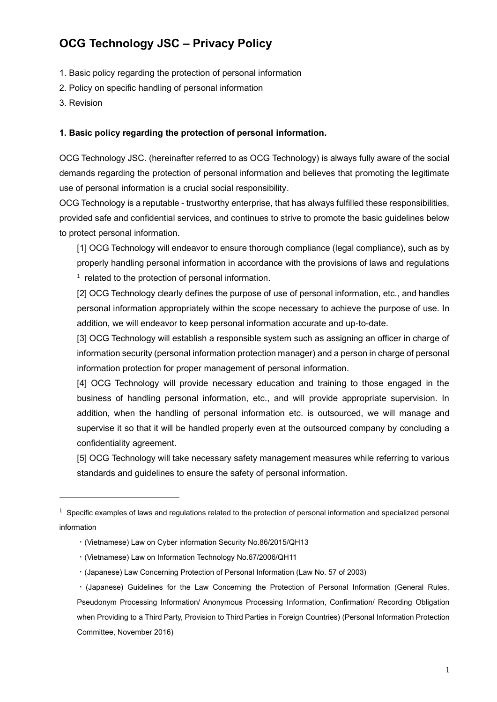# **OCG Technology JSC – Privacy Policy**

- 1. Basic policy regarding the protection of personal information
- 2. Policy on specific handling of personal information
- 3. Revision

#### **1. Basic policy regarding the protection of personal information.**

OCG Technology JSC. (hereinafter referred to as OCG Technology) is always fully aware of the social demands regarding the protection of personal information and believes that promoting the legitimate use of personal information is a crucial social responsibility.

OCG Technology is a reputable - trustworthy enterprise, that has always fulfilled these responsibilities, provided safe and confidential services, and continues to strive to promote the basic guidelines below to protect personal information.

[1] OCG Technology will endeavor to ensure thorough compliance (legal compliance), such as by properly handling personal information in accordance with the provisions of laws and regulations <sup>1</sup> related to the protection of personal information.

[2] OCG Technology clearly defines the purpose of use of personal information, etc., and handles personal information appropriately within the scope necessary to achieve the purpose of use. In addition, we will endeavor to keep personal information accurate and up-to-date.

[3] OCG Technology will establish a responsible system such as assigning an officer in charge of information security (personal information protection manager) and a person in charge of personal information protection for proper management of personal information.

[4] OCG Technology will provide necessary education and training to those engaged in the business of handling personal information, etc., and will provide appropriate supervision. In addition, when the handling of personal information etc. is outsourced, we will manage and supervise it so that it will be handled properly even at the outsourced company by concluding a confidentiality agreement.

[5] OCG Technology will take necessary safety management measures while referring to various standards and guidelines to ensure the safety of personal information.

- ・(Vietnamese) Law on Cyber information Security No.86/2015/QH13
- ・(Vietnamese) Law on Information Technology No.67/2006/QH11
- ・(Japanese) Law Concerning Protection of Personal Information (Law No. 57 of 2003)

 $1$  Specific examples of laws and regulations related to the protection of personal information and specialized personal information

<sup>・</sup>(Japanese) Guidelines for the Law Concerning the Protection of Personal Information (General Rules, Pseudonym Processing Information/ Anonymous Processing Information, Confirmation/ Recording Obligation when Providing to a Third Party, Provision to Third Parties in Foreign Countries) (Personal Information Protection Committee, November 2016)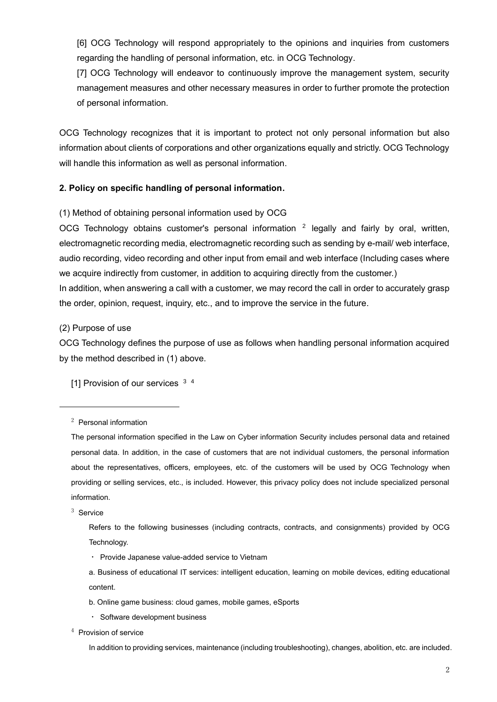[6] OCG Technology will respond appropriately to the opinions and inquiries from customers regarding the handling of personal information, etc. in OCG Technology.

[7] OCG Technology will endeavor to continuously improve the management system, security management measures and other necessary measures in order to further promote the protection of personal information.

OCG Technology recognizes that it is important to protect not only personal information but also information about clients of corporations and other organizations equally and strictly. OCG Technology will handle this information as well as personal information.

## **2. Policy on specific handling of personal information.**

(1) Method of obtaining personal information used by OCG

OCG Technology obtains customer's personal information  $2$  legally and fairly by oral, written, electromagnetic recording media, electromagnetic recording such as sending by e-mail/ web interface, audio recording, video recording and other input from email and web interface (Including cases where we acquire indirectly from customer, in addition to acquiring directly from the customer.) In addition, when answering a call with a customer, we may record the call in order to accurately grasp the order, opinion, request, inquiry, etc., and to improve the service in the future.

#### (2) Purpose of use

OCG Technology defines the purpose of use as follows when handling personal information acquired by the method described in (1) above.

[1] Provision of our services <sup>3 4</sup>

<sup>3</sup> Service

Refers to the following businesses (including contracts, contracts, and consignments) provided by OCG Technology.

・ Software development business

<sup>4</sup> Provision of service

In addition to providing services, maintenance (including troubleshooting), changes, abolition, etc. are included.

<sup>2</sup> Personal information

The personal information specified in the Law on Cyber information Security includes personal data and retained personal data. In addition, in the case of customers that are not individual customers, the personal information about the representatives, officers, employees, etc. of the customers will be used by OCG Technology when providing or selling services, etc., is included. However, this privacy policy does not include specialized personal information.

<sup>・</sup> Provide Japanese value-added service to Vietnam

a. Business of educational IT services: intelligent education, learning on mobile devices, editing educational content.

b. Online game business: cloud games, mobile games, eSports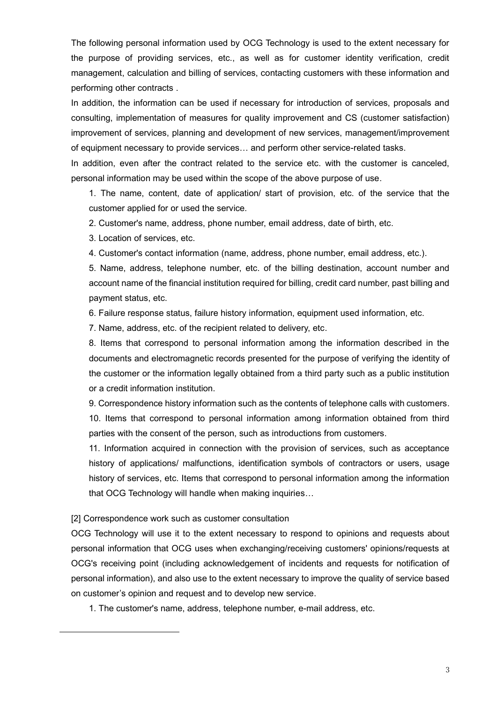The following personal information used by OCG Technology is used to the extent necessary for the purpose of providing services, etc., as well as for customer identity verification, credit management, calculation and billing of services, contacting customers with these information and performing other contracts .

In addition, the information can be used if necessary for introduction of services, proposals and consulting, implementation of measures for quality improvement and CS (customer satisfaction) improvement of services, planning and development of new services, management/improvement of equipment necessary to provide services… and perform other service-related tasks.

In addition, even after the contract related to the service etc. with the customer is canceled, personal information may be used within the scope of the above purpose of use.

1. The name, content, date of application/ start of provision, etc. of the service that the customer applied for or used the service.

2. Customer's name, address, phone number, email address, date of birth, etc.

3. Location of services, etc.

4. Customer's contact information (name, address, phone number, email address, etc.).

5. Name, address, telephone number, etc. of the billing destination, account number and account name of the financial institution required for billing, credit card number, past billing and payment status, etc.

6. Failure response status, failure history information, equipment used information, etc.

7. Name, address, etc. of the recipient related to delivery, etc.

8. Items that correspond to personal information among the information described in the documents and electromagnetic records presented for the purpose of verifying the identity of the customer or the information legally obtained from a third party such as a public institution or a credit information institution.

9. Correspondence history information such as the contents of telephone calls with customers. 10. Items that correspond to personal information among information obtained from third parties with the consent of the person, such as introductions from customers.

11. Information acquired in connection with the provision of services, such as acceptance history of applications/ malfunctions, identification symbols of contractors or users, usage history of services, etc. Items that correspond to personal information among the information that OCG Technology will handle when making inquiries…

[2] Correspondence work such as customer consultation

OCG Technology will use it to the extent necessary to respond to opinions and requests about personal information that OCG uses when exchanging/receiving customers' opinions/requests at OCG's receiving point (including acknowledgement of incidents and requests for notification of personal information), and also use to the extent necessary to improve the quality of service based on customer's opinion and request and to develop new service.

1. The customer's name, address, telephone number, e-mail address, etc.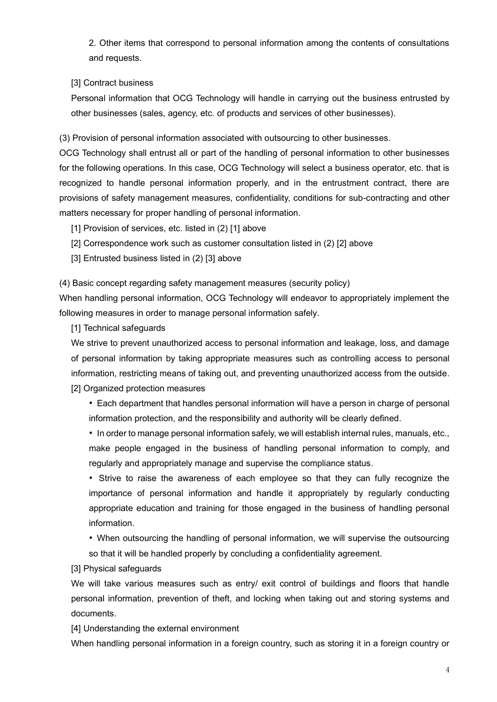2. Other items that correspond to personal information among the contents of consultations and requests.

## [3] Contract business

Personal information that OCG Technology will handle in carrying out the business entrusted by other businesses (sales, agency, etc. of products and services of other businesses).

(3) Provision of personal information associated with outsourcing to other businesses.

OCG Technology shall entrust all or part of the handling of personal information to other businesses for the following operations. In this case, OCG Technology will select a business operator, etc. that is recognized to handle personal information properly, and in the entrustment contract, there are provisions of safety management measures, confidentiality, conditions for sub-contracting and other matters necessary for proper handling of personal information.

- [1] Provision of services, etc. listed in (2) [1] above
- [2] Correspondence work such as customer consultation listed in (2) [2] above
- [3] Entrusted business listed in (2) [3] above

(4) Basic concept regarding safety management measures (security policy)

When handling personal information, OCG Technology will endeavor to appropriately implement the following measures in order to manage personal information safely.

[1] Technical safeguards

We strive to prevent unauthorized access to personal information and leakage, loss, and damage of personal information by taking appropriate measures such as controlling access to personal information, restricting means of taking out, and preventing unauthorized access from the outside. [2] Organized protection measures

• Each department that handles personal information will have a person in charge of personal information protection, and the responsibility and authority will be clearly defined.

• In order to manage personal information safely, we will establish internal rules, manuals, etc., make people engaged in the business of handling personal information to comply, and regularly and appropriately manage and supervise the compliance status.

• Strive to raise the awareness of each employee so that they can fully recognize the importance of personal information and handle it appropriately by regularly conducting appropriate education and training for those engaged in the business of handling personal information.

• When outsourcing the handling of personal information, we will supervise the outsourcing so that it will be handled properly by concluding a confidentiality agreement.

[3] Physical safeguards

We will take various measures such as entry/ exit control of buildings and floors that handle personal information, prevention of theft, and locking when taking out and storing systems and documents.

[4] Understanding the external environment

When handling personal information in a foreign country, such as storing it in a foreign country or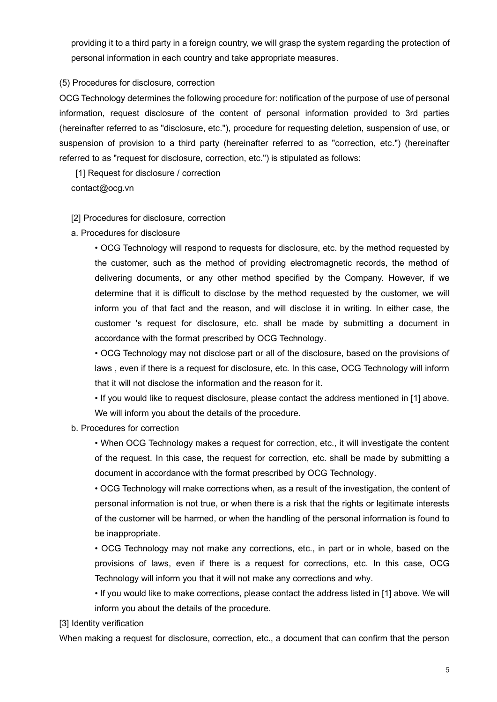providing it to a third party in a foreign country, we will grasp the system regarding the protection of personal information in each country and take appropriate measures.

## (5) Procedures for disclosure, correction

OCG Technology determines the following procedure for: notification of the purpose of use of personal information, request disclosure of the content of personal information provided to 3rd parties (hereinafter referred to as "disclosure, etc."), procedure for requesting deletion, suspension of use, or suspension of provision to a third party (hereinafter referred to as "correction, etc.") (hereinafter referred to as "request for disclosure, correction, etc.") is stipulated as follows:

[1] Request for disclosure / correction contact@ocg.vn

#### [2] Procedures for disclosure, correction

a. Procedures for disclosure

• OCG Technology will respond to requests for disclosure, etc. by the method requested by the customer, such as the method of providing electromagnetic records, the method of delivering documents, or any other method specified by the Company. However, if we determine that it is difficult to disclose by the method requested by the customer, we will inform you of that fact and the reason, and will disclose it in writing. In either case, the customer 's request for disclosure, etc. shall be made by submitting a document in accordance with the format prescribed by OCG Technology.

• OCG Technology may not disclose part or all of the disclosure, based on the provisions of laws , even if there is a request for disclosure, etc. In this case, OCG Technology will inform that it will not disclose the information and the reason for it.

• If you would like to request disclosure, please contact the address mentioned in [1] above. We will inform you about the details of the procedure.

#### b. Procedures for correction

• When OCG Technology makes a request for correction, etc., it will investigate the content of the request. In this case, the request for correction, etc. shall be made by submitting a document in accordance with the format prescribed by OCG Technology.

• OCG Technology will make corrections when, as a result of the investigation, the content of personal information is not true, or when there is a risk that the rights or legitimate interests of the customer will be harmed, or when the handling of the personal information is found to be inappropriate.

• OCG Technology may not make any corrections, etc., in part or in whole, based on the provisions of laws, even if there is a request for corrections, etc. In this case, OCG Technology will inform you that it will not make any corrections and why.

• If you would like to make corrections, please contact the address listed in [1] above. We will inform you about the details of the procedure.

[3] Identity verification

When making a request for disclosure, correction, etc., a document that can confirm that the person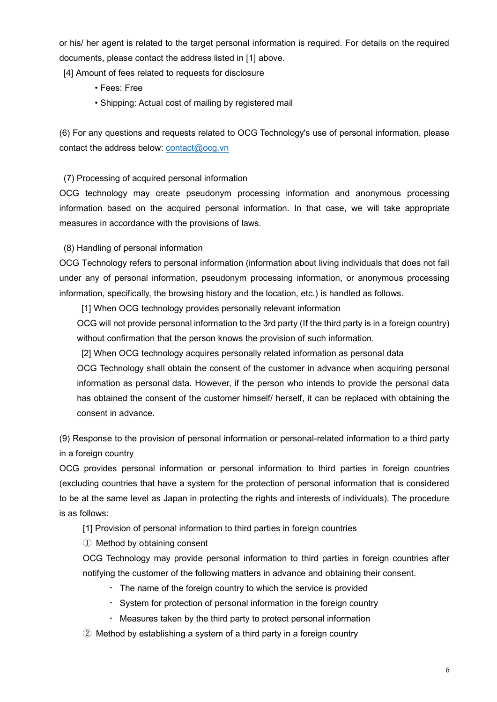or his/ her agent is related to the target personal information is required. For details on the required documents, please contact the address listed in [1] above.

[4] Amount of fees related to requests for disclosure

- Fees: Free
- Shipping: Actual cost of mailing by registered mail

(6) For any questions and requests related to OCG Technology's use of personal information, please contact the address below: [contact@ocg.vn](mailto:contact@ocg.vn)

# (7) Processing of acquired personal information

OCG technology may create pseudonym processing information and anonymous processing information based on the acquired personal information. In that case, we will take appropriate measures in accordance with the provisions of laws.

# (8) Handling of personal information

OCG Technology refers to personal information (information about living individuals that does not fall under any of personal information, pseudonym processing information, or anonymous processing information, specifically, the browsing history and the location, etc.) is handled as follows.

[1] When OCG technology provides personally relevant information

OCG will not provide personal information to the 3rd party (If the third party is in a foreign country) without confirmation that the person knows the provision of such information.

[2] When OCG technology acquires personally related information as personal data

OCG Technology shall obtain the consent of the customer in advance when acquiring personal information as personal data. However, if the person who intends to provide the personal data has obtained the consent of the customer himself/ herself, it can be replaced with obtaining the consent in advance.

(9) Response to the provision of personal information or personal-related information to a third party in a foreign country

OCG provides personal information or personal information to third parties in foreign countries (excluding countries that have a system for the protection of personal information that is considered to be at the same level as Japan in protecting the rights and interests of individuals). The procedure is as follows:

[1] Provision of personal information to third parties in foreign countries

① Method by obtaining consent

OCG Technology may provide personal information to third parties in foreign countries after notifying the customer of the following matters in advance and obtaining their consent.

- $\cdot$  The name of the foreign country to which the service is provided
- ・ System for protection of personal information in the foreign country
- ・ Measures taken by the third party to protect personal information
- ② Method by establishing a system of a third party in a foreign country